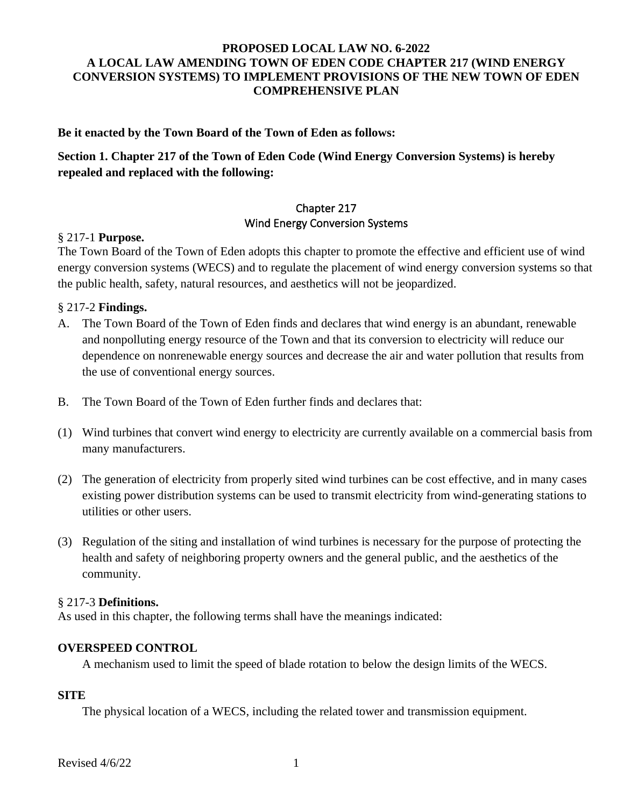## **PROPOSED LOCAL LAW NO. 6-2022 A LOCAL LAW AMENDING TOWN OF EDEN CODE CHAPTER 217 (WIND ENERGY CONVERSION SYSTEMS) TO IMPLEMENT PROVISIONS OF THE NEW TOWN OF EDEN COMPREHENSIVE PLAN**

**Be it enacted by the Town Board of the Town of Eden as follows:**

# **Section 1. Chapter 217 of the Town of Eden Code (Wind Energy Conversion Systems) is hereby repealed and replaced with the following:**

## Chapter 217 Wind Energy Conversion Systems

### § 217-1 **Purpose.**

The Town Board of the Town of Eden adopts this chapter to promote the effective and efficient use of wind energy conversion systems (WECS) and to regulate the placement of wind energy conversion systems so that the public health, safety, natural resources, and aesthetics will not be jeopardized.

## § 217-2 **Findings.**

- A. The Town Board of the Town of Eden finds and declares that wind energy is an abundant, renewable and nonpolluting energy resource of the Town and that its conversion to electricity will reduce our dependence on nonrenewable energy sources and decrease the air and water pollution that results from the use of conventional energy sources.
- B. The Town Board of the Town of Eden further finds and declares that:
- (1) Wind turbines that convert wind energy to electricity are currently available on a commercial basis from many manufacturers.
- (2) The generation of electricity from properly sited wind turbines can be cost effective, and in many cases existing power distribution systems can be used to transmit electricity from wind-generating stations to utilities or other users.
- (3) Regulation of the siting and installation of wind turbines is necessary for the purpose of protecting the health and safety of neighboring property owners and the general public, and the aesthetics of the community.

### § 217-3 **Definitions.**

As used in this chapter, the following terms shall have the meanings indicated:

### **OVERSPEED CONTROL**

A mechanism used to limit the speed of blade rotation to below the design limits of the WECS.

### **SITE**

The physical location of a WECS, including the related tower and transmission equipment.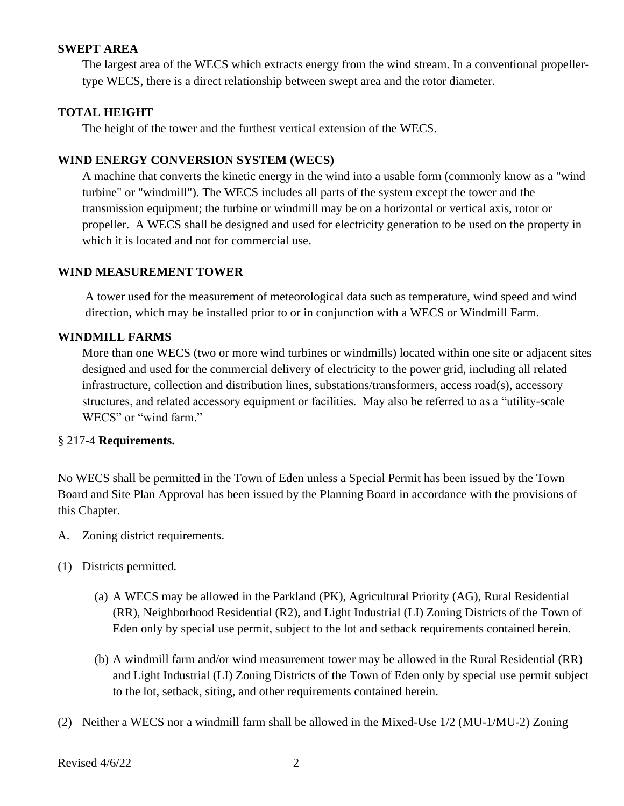### **SWEPT AREA**

The largest area of the WECS which extracts energy from the wind stream. In a conventional propellertype WECS, there is a direct relationship between swept area and the rotor diameter.

### **TOTAL HEIGHT**

The height of the tower and the furthest vertical extension of the WECS.

## **WIND ENERGY CONVERSION SYSTEM (WECS)**

A machine that converts the kinetic energy in the wind into a usable form (commonly know as a "wind turbine" or "windmill"). The WECS includes all parts of the system except the tower and the transmission equipment; the turbine or windmill may be on a horizontal or vertical axis, rotor or propeller. A WECS shall be designed and used for electricity generation to be used on the property in which it is located and not for commercial use.

### **WIND MEASUREMENT TOWER**

A tower used for the measurement of meteorological data such as temperature, wind speed and wind direction, which may be installed prior to or in conjunction with a WECS or Windmill Farm.

## **WINDMILL FARMS**

More than one WECS (two or more wind turbines or windmills) located within one site or adjacent sites designed and used for the commercial delivery of electricity to the power grid, including all related infrastructure, collection and distribution lines, substations/transformers, access road(s), accessory structures, and related accessory equipment or facilities. May also be referred to as a "utility-scale WECS" or "wind farm."

### § 217-4 **Requirements.**

No WECS shall be permitted in the Town of Eden unless a Special Permit has been issued by the Town Board and Site Plan Approval has been issued by the Planning Board in accordance with the provisions of this Chapter.

- A. Zoning district requirements.
- (1) Districts permitted.
	- (a) A WECS may be allowed in the Parkland (PK), Agricultural Priority (AG), Rural Residential (RR), Neighborhood Residential (R2), and Light Industrial (LI) Zoning Districts of the Town of Eden only by special use permit, subject to the lot and setback requirements contained herein.
	- (b) A windmill farm and/or wind measurement tower may be allowed in the Rural Residential (RR) and Light Industrial (LI) Zoning Districts of the Town of Eden only by special use permit subject to the lot, setback, siting, and other requirements contained herein.
- (2) Neither a WECS nor a windmill farm shall be allowed in the Mixed-Use 1/2 (MU-1/MU-2) Zoning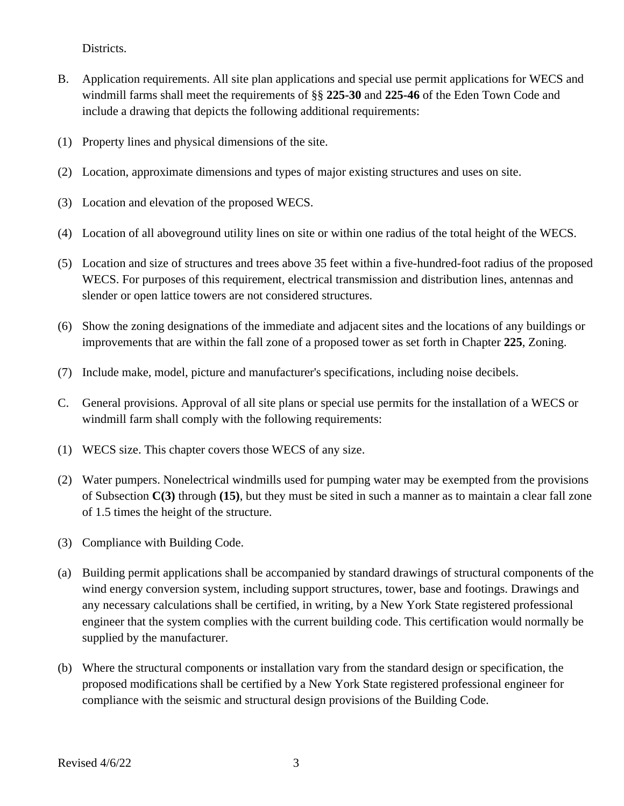Districts.

- B. Application requirements. All site plan applications and special use permit applications for WECS and windmill farms shall meet the requirements of §§ **225-30** and **225-46** of the Eden Town Code and include a drawing that depicts the following additional requirements:
- (1) Property lines and physical dimensions of the site.
- (2) Location, approximate dimensions and types of major existing structures and uses on site.
- (3) Location and elevation of the proposed WECS.
- (4) Location of all aboveground utility lines on site or within one radius of the total height of the WECS.
- (5) Location and size of structures and trees above 35 feet within a five-hundred-foot radius of the proposed WECS. For purposes of this requirement, electrical transmission and distribution lines, antennas and slender or open lattice towers are not considered structures.
- (6) Show the zoning designations of the immediate and adjacent sites and the locations of any buildings or improvements that are within the fall zone of a proposed tower as set forth in Chapter **225**, Zoning.
- (7) Include make, model, picture and manufacturer's specifications, including noise decibels.
- C. General provisions. Approval of all site plans or special use permits for the installation of a WECS or windmill farm shall comply with the following requirements:
- (1) WECS size. This chapter covers those WECS of any size.
- (2) Water pumpers. Nonelectrical windmills used for pumping water may be exempted from the provisions of Subsection **C(3)** through **(15)**, but they must be sited in such a manner as to maintain a clear fall zone of 1.5 times the height of the structure.
- (3) Compliance with Building Code.
- (a) Building permit applications shall be accompanied by standard drawings of structural components of the wind energy conversion system, including support structures, tower, base and footings. Drawings and any necessary calculations shall be certified, in writing, by a New York State registered professional engineer that the system complies with the current building code. This certification would normally be supplied by the manufacturer.
- (b) Where the structural components or installation vary from the standard design or specification, the proposed modifications shall be certified by a New York State registered professional engineer for compliance with the seismic and structural design provisions of the Building Code.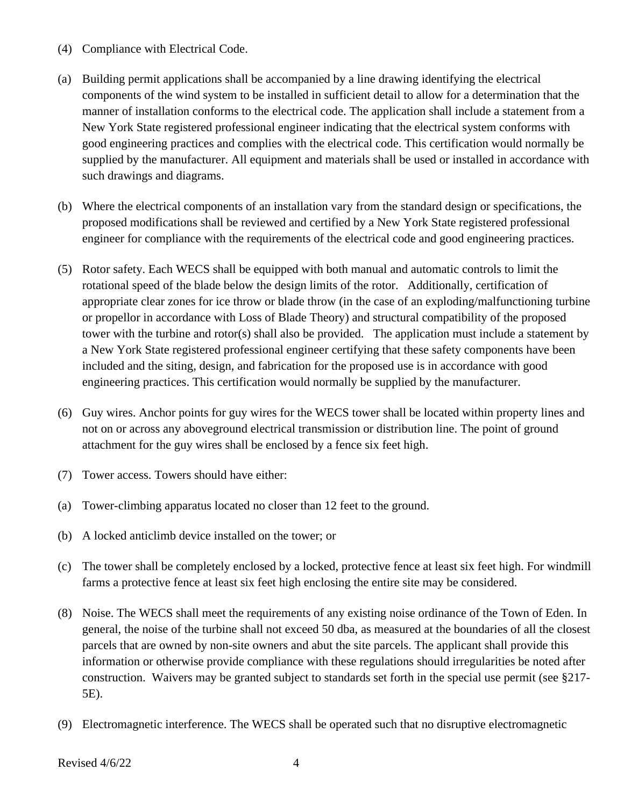- (4) Compliance with Electrical Code.
- (a) Building permit applications shall be accompanied by a line drawing identifying the electrical components of the wind system to be installed in sufficient detail to allow for a determination that the manner of installation conforms to the electrical code. The application shall include a statement from a New York State registered professional engineer indicating that the electrical system conforms with good engineering practices and complies with the electrical code. This certification would normally be supplied by the manufacturer. All equipment and materials shall be used or installed in accordance with such drawings and diagrams.
- (b) Where the electrical components of an installation vary from the standard design or specifications, the proposed modifications shall be reviewed and certified by a New York State registered professional engineer for compliance with the requirements of the electrical code and good engineering practices.
- (5) Rotor safety. Each WECS shall be equipped with both manual and automatic controls to limit the rotational speed of the blade below the design limits of the rotor. Additionally, certification of appropriate clear zones for ice throw or blade throw (in the case of an exploding/malfunctioning turbine or propellor in accordance with Loss of Blade Theory) and structural compatibility of the proposed tower with the turbine and rotor(s) shall also be provided. The application must include a statement by a New York State registered professional engineer certifying that these safety components have been included and the siting, design, and fabrication for the proposed use is in accordance with good engineering practices. This certification would normally be supplied by the manufacturer.
- (6) Guy wires. Anchor points for guy wires for the WECS tower shall be located within property lines and not on or across any aboveground electrical transmission or distribution line. The point of ground attachment for the guy wires shall be enclosed by a fence six feet high.
- (7) Tower access. Towers should have either:
- (a) Tower-climbing apparatus located no closer than 12 feet to the ground.
- (b) A locked anticlimb device installed on the tower; or
- (c) The tower shall be completely enclosed by a locked, protective fence at least six feet high. For windmill farms a protective fence at least six feet high enclosing the entire site may be considered.
- (8) Noise. The WECS shall meet the requirements of any existing noise ordinance of the Town of Eden. In general, the noise of the turbine shall not exceed 50 dba, as measured at the boundaries of all the closest parcels that are owned by non-site owners and abut the site parcels. The applicant shall provide this information or otherwise provide compliance with these regulations should irregularities be noted after construction. Waivers may be granted subject to standards set forth in the special use permit (see §217- 5E).
- (9) Electromagnetic interference. The WECS shall be operated such that no disruptive electromagnetic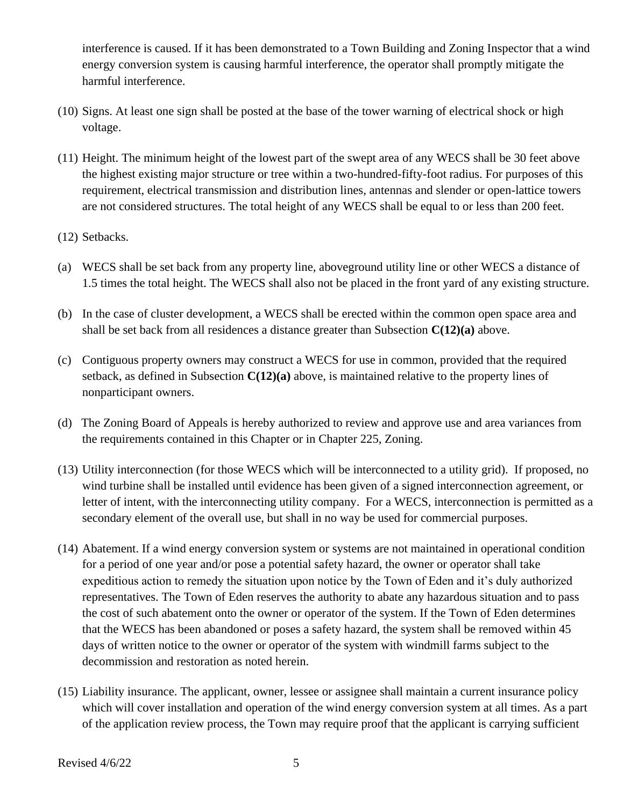interference is caused. If it has been demonstrated to a Town Building and Zoning Inspector that a wind energy conversion system is causing harmful interference, the operator shall promptly mitigate the harmful interference.

- (10) Signs. At least one sign shall be posted at the base of the tower warning of electrical shock or high voltage.
- (11) Height. The minimum height of the lowest part of the swept area of any WECS shall be 30 feet above the highest existing major structure or tree within a two-hundred-fifty-foot radius. For purposes of this requirement, electrical transmission and distribution lines, antennas and slender or open-lattice towers are not considered structures. The total height of any WECS shall be equal to or less than 200 feet.
- (12) Setbacks.
- (a) WECS shall be set back from any property line, aboveground utility line or other WECS a distance of 1.5 times the total height. The WECS shall also not be placed in the front yard of any existing structure.
- (b) In the case of cluster development, a WECS shall be erected within the common open space area and shall be set back from all residences a distance greater than Subsection **C(12)(a)** above.
- (c) Contiguous property owners may construct a WECS for use in common, provided that the required setback, as defined in Subsection **C(12)(a)** above, is maintained relative to the property lines of nonparticipant owners.
- (d) The Zoning Board of Appeals is hereby authorized to review and approve use and area variances from the requirements contained in this Chapter or in Chapter 225, Zoning.
- (13) Utility interconnection (for those WECS which will be interconnected to a utility grid). If proposed, no wind turbine shall be installed until evidence has been given of a signed interconnection agreement, or letter of intent, with the interconnecting utility company. For a WECS, interconnection is permitted as a secondary element of the overall use, but shall in no way be used for commercial purposes.
- (14) Abatement. If a wind energy conversion system or systems are not maintained in operational condition for a period of one year and/or pose a potential safety hazard, the owner or operator shall take expeditious action to remedy the situation upon notice by the Town of Eden and it's duly authorized representatives. The Town of Eden reserves the authority to abate any hazardous situation and to pass the cost of such abatement onto the owner or operator of the system. If the Town of Eden determines that the WECS has been abandoned or poses a safety hazard, the system shall be removed within 45 days of written notice to the owner or operator of the system with windmill farms subject to the decommission and restoration as noted herein.
- (15) Liability insurance. The applicant, owner, lessee or assignee shall maintain a current insurance policy which will cover installation and operation of the wind energy conversion system at all times. As a part of the application review process, the Town may require proof that the applicant is carrying sufficient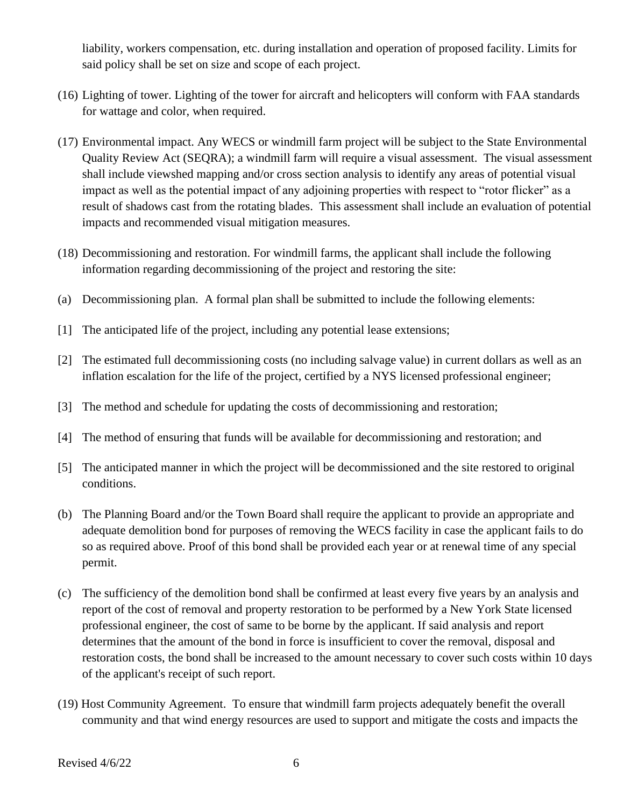liability, workers compensation, etc. during installation and operation of proposed facility. Limits for said policy shall be set on size and scope of each project.

- (16) Lighting of tower. Lighting of the tower for aircraft and helicopters will conform with FAA standards for wattage and color, when required.
- (17) Environmental impact. Any WECS or windmill farm project will be subject to the State Environmental Quality Review Act (SEQRA); a windmill farm will require a visual assessment. The visual assessment shall include viewshed mapping and/or cross section analysis to identify any areas of potential visual impact as well as the potential impact of any adjoining properties with respect to "rotor flicker" as a result of shadows cast from the rotating blades. This assessment shall include an evaluation of potential impacts and recommended visual mitigation measures.
- (18) Decommissioning and restoration. For windmill farms, the applicant shall include the following information regarding decommissioning of the project and restoring the site:
- (a) Decommissioning plan. A formal plan shall be submitted to include the following elements:
- [1] The anticipated life of the project, including any potential lease extensions;
- [2] The estimated full decommissioning costs (no including salvage value) in current dollars as well as an inflation escalation for the life of the project, certified by a NYS licensed professional engineer;
- [3] The method and schedule for updating the costs of decommissioning and restoration;
- [4] The method of ensuring that funds will be available for decommissioning and restoration; and
- [5] The anticipated manner in which the project will be decommissioned and the site restored to original conditions.
- (b) The Planning Board and/or the Town Board shall require the applicant to provide an appropriate and adequate demolition bond for purposes of removing the WECS facility in case the applicant fails to do so as required above. Proof of this bond shall be provided each year or at renewal time of any special permit.
- (c) The sufficiency of the demolition bond shall be confirmed at least every five years by an analysis and report of the cost of removal and property restoration to be performed by a New York State licensed professional engineer, the cost of same to be borne by the applicant. If said analysis and report determines that the amount of the bond in force is insufficient to cover the removal, disposal and restoration costs, the bond shall be increased to the amount necessary to cover such costs within 10 days of the applicant's receipt of such report.
- (19) Host Community Agreement. To ensure that windmill farm projects adequately benefit the overall community and that wind energy resources are used to support and mitigate the costs and impacts the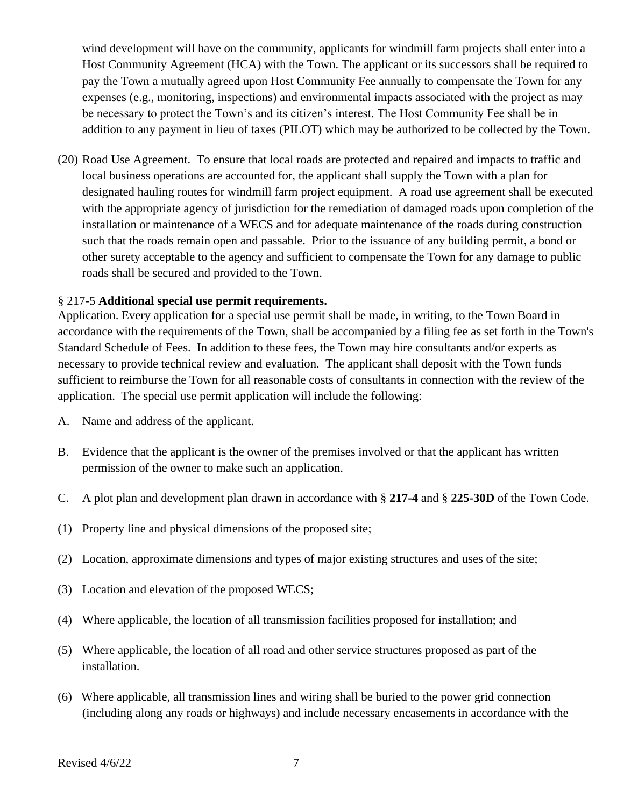wind development will have on the community, applicants for windmill farm projects shall enter into a Host Community Agreement (HCA) with the Town. The applicant or its successors shall be required to pay the Town a mutually agreed upon Host Community Fee annually to compensate the Town for any expenses (e.g., monitoring, inspections) and environmental impacts associated with the project as may be necessary to protect the Town's and its citizen's interest. The Host Community Fee shall be in addition to any payment in lieu of taxes (PILOT) which may be authorized to be collected by the Town.

(20) Road Use Agreement. To ensure that local roads are protected and repaired and impacts to traffic and local business operations are accounted for, the applicant shall supply the Town with a plan for designated hauling routes for windmill farm project equipment. A road use agreement shall be executed with the appropriate agency of jurisdiction for the remediation of damaged roads upon completion of the installation or maintenance of a WECS and for adequate maintenance of the roads during construction such that the roads remain open and passable. Prior to the issuance of any building permit, a bond or other surety acceptable to the agency and sufficient to compensate the Town for any damage to public roads shall be secured and provided to the Town.

### § 217-5 **Additional special use permit requirements.**

Application. Every application for a special use permit shall be made, in writing, to the Town Board in accordance with the requirements of the Town, shall be accompanied by a filing fee as set forth in the Town's Standard Schedule of Fees. In addition to these fees, the Town may hire consultants and/or experts as necessary to provide technical review and evaluation. The applicant shall deposit with the Town funds sufficient to reimburse the Town for all reasonable costs of consultants in connection with the review of the application. The special use permit application will include the following:

- A. Name and address of the applicant.
- B. Evidence that the applicant is the owner of the premises involved or that the applicant has written permission of the owner to make such an application.
- C. A plot plan and development plan drawn in accordance with § **217-4** and § **225-30D** of the Town Code.
- (1) Property line and physical dimensions of the proposed site;
- (2) Location, approximate dimensions and types of major existing structures and uses of the site;
- (3) Location and elevation of the proposed WECS;
- (4) Where applicable, the location of all transmission facilities proposed for installation; and
- (5) Where applicable, the location of all road and other service structures proposed as part of the installation.
- (6) Where applicable, all transmission lines and wiring shall be buried to the power grid connection (including along any roads or highways) and include necessary encasements in accordance with the